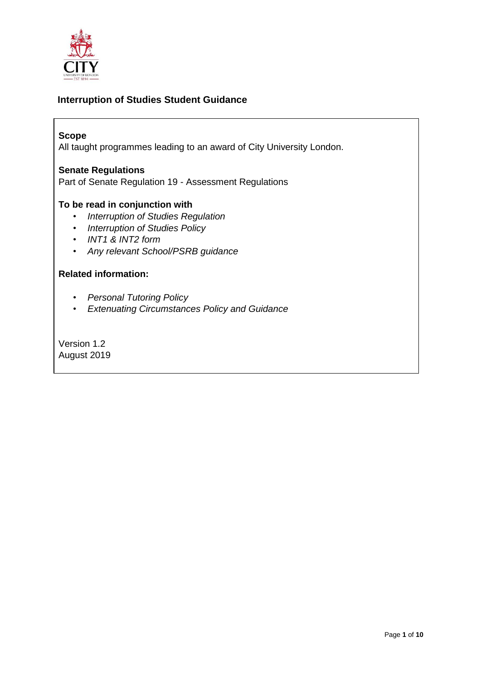

### **Interruption of Studies Student Guidance**

#### **Scope**

All taught programmes leading to an award of City University London.

#### **Senate Regulations**

Part of Senate Regulation 19 - Assessment Regulations

#### **To be read in conjunction with**

- *Interruption of Studies Regulation*
- *Interruption of Studies Policy*
- *INT1 & INT2 form*
- *Any relevant School/PSRB guidance*

#### **Related information:**

- *Personal Tutoring Policy*
- *Extenuating Circumstances Policy and Guidance*

Version 1.2 August 2019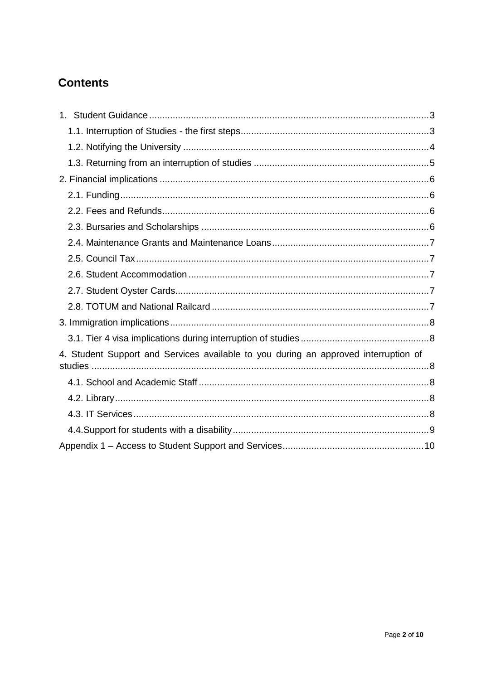# **Contents**

<span id="page-1-0"></span>

| 4. Student Support and Services available to you during an approved interruption of |  |
|-------------------------------------------------------------------------------------|--|
|                                                                                     |  |
|                                                                                     |  |
|                                                                                     |  |
|                                                                                     |  |
|                                                                                     |  |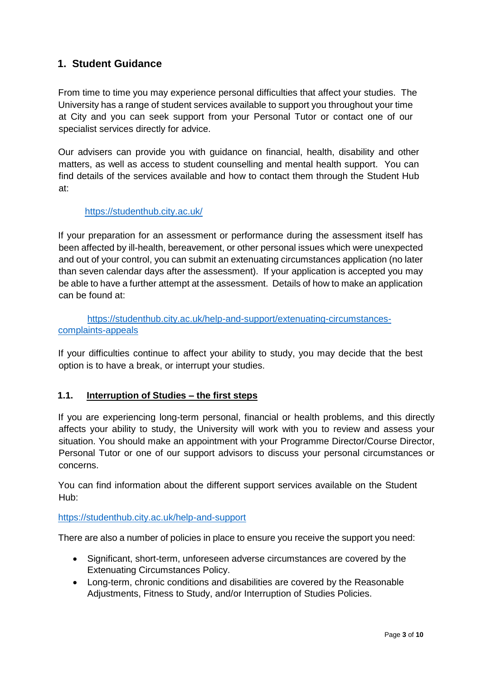# **1. Student Guidance**

From time to time you may experience personal difficulties that affect your studies. The University has a range of student services available to support you throughout your time at City and you can seek support from your Personal Tutor or contact one of our specialist services directly for advice.

Our advisers can provide you with guidance on financial, health, disability and other matters, as well as access to student counselling and mental health support. You can find details of the services available and how to contact them through the Student Hub at:

#### <https://studenthub.city.ac.uk/>

If your preparation for an assessment or performance during the assessment itself has been affected by ill-health, bereavement, or other personal issues which were unexpected and out of your control, you can submit an extenuating circumstances application (no later than seven calendar days after the assessment). If your application is accepted you may be able to have a further attempt at the assessment. Details of how to make an application can be found at:

[https://studenthub.city.ac.uk/help-and-support/extenuating-circumstances](https://studenthub.city.ac.uk/help-and-support/extenuating-circumstances-complaints-appeals)[complaints-appeals](https://studenthub.city.ac.uk/help-and-support/extenuating-circumstances-complaints-appeals)

If your difficulties continue to affect your ability to study, you may decide that the best option is to have a break, or interrupt your studies.

#### <span id="page-2-0"></span>**1.1. Interruption of Studies – the first steps**

If you are experiencing long-term personal, financial or health problems, and this directly affects your ability to study, the University will work with you to review and assess your situation. You should make an appointment with your Programme Director/Course Director, Personal Tutor or one of our support advisors to discuss your personal circumstances or concerns.

You can find information about the different support services available on the Student Hub:

#### <https://studenthub.city.ac.uk/help-and-support>

There are also a number of policies in place to ensure you receive the support you need:

- Significant, short-term, unforeseen adverse circumstances are covered by the Extenuating Circumstances Policy.
- Long-term, chronic conditions and disabilities are covered by the Reasonable Adjustments, Fitness to Study, and/or Interruption of Studies Policies.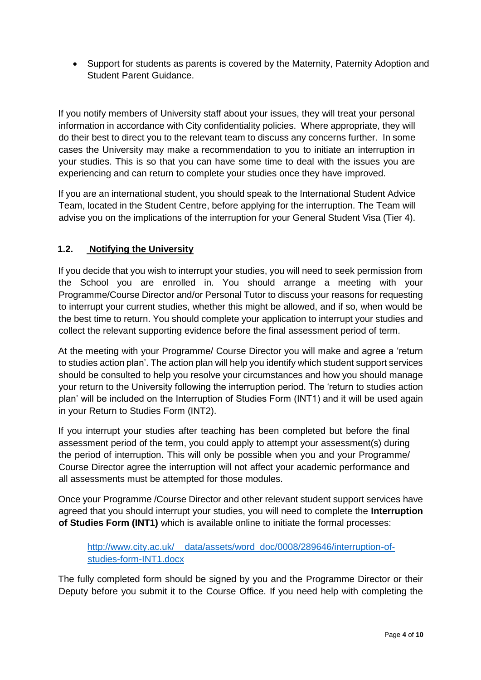Support for students as parents is covered by the Maternity, Paternity Adoption and Student Parent Guidance.

If you notify members of University staff about your issues, they will treat your personal information in accordance with City confidentiality policies. Where appropriate, they will do their best to direct you to the relevant team to discuss any concerns further. In some cases the University may make a recommendation to you to initiate an interruption in your studies. This is so that you can have some time to deal with the issues you are experiencing and can return to complete your studies once they have improved.

If you are an international student, you should speak to the International Student Advice Team, located in the Student Centre, before applying for the interruption. The Team will advise you on the implications of the interruption for your General Student Visa (Tier 4).

### <span id="page-3-0"></span>**1.2. Notifying the University**

If you decide that you wish to interrupt your studies, you will need to seek permission from the School you are enrolled in. You should arrange a meeting with your Programme/Course Director and/or Personal Tutor to discuss your reasons for requesting to interrupt your current studies, whether this might be allowed, and if so, when would be the best time to return. You should complete your application to interrupt your studies and collect the relevant supporting evidence before the final assessment period of term.

At the meeting with your Programme/ Course Director you will make and agree a 'return to studies action plan'. The action plan will help you identify which student support services should be consulted to help you resolve your circumstances and how you should manage your return to the University following the interruption period. The 'return to studies action plan' will be included on the Interruption of Studies Form (INT1) and it will be used again in your Return to Studies Form (INT2).

If you interrupt your studies after teaching has been completed but before the final assessment period of the term, you could apply to attempt your assessment(s) during the period of interruption. This will only be possible when you and your Programme/ Course Director agree the interruption will not affect your academic performance and all assessments must be attempted for those modules.

Once your Programme /Course Director and other relevant student support services have agreed that you should interrupt your studies, you will need to complete the **Interruption of Studies Form (INT1)** which is available online to initiate the formal processes:

### [http://www.city.ac.uk/\\_\\_data/assets/word\\_doc/0008/289646/interruption-of](http://www.city.ac.uk/__data/assets/word_doc/0008/289646/interruption-of-studies-form-INT1.docx)[studies-form-INT1.docx](http://www.city.ac.uk/__data/assets/word_doc/0008/289646/interruption-of-studies-form-INT1.docx)

The fully completed form should be signed by you and the Programme Director or their Deputy before you submit it to the Course Office. If you need help with completing the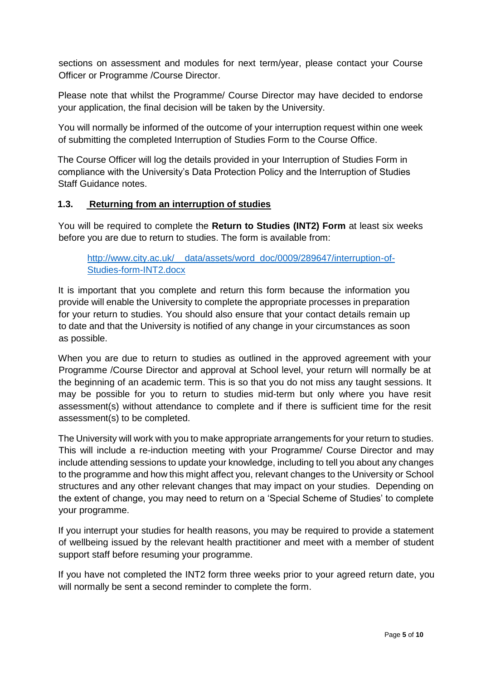sections on assessment and modules for next term/year, please contact your Course Officer or Programme /Course Director.

Please note that whilst the Programme/ Course Director may have decided to endorse your application, the final decision will be taken by the University.

You will normally be informed of the outcome of your interruption request within one week of submitting the completed Interruption of Studies Form to the Course Office.

The Course Officer will log the details provided in your Interruption of Studies Form in compliance with the University's Data Protection Policy and the Interruption of Studies Staff Guidance notes.

#### <span id="page-4-0"></span>**1.3. Returning from an interruption of studies**

You will be required to complete the **Return to Studies (INT2) Form** at least six weeks before you are due to return to studies. The form is available from:

[http://www.city.ac.uk/\\_\\_data/assets/word\\_doc/0009/289647/interruption-of-](http://www.city.ac.uk/__data/assets/word_doc/0009/289647/interruption-of-Studies-form-INT2.docx)[Studies-form-INT2.docx](http://www.city.ac.uk/__data/assets/word_doc/0009/289647/interruption-of-Studies-form-INT2.docx)

It is important that you complete and return this form because the information you provide will enable the University to complete the appropriate processes in preparation for your return to studies. You should also ensure that your contact details remain up to date and that the University is notified of any change in your circumstances as soon as possible.

When you are due to return to studies as outlined in the approved agreement with your Programme /Course Director and approval at School level, your return will normally be at the beginning of an academic term. This is so that you do not miss any taught sessions. It may be possible for you to return to studies mid-term but only where you have resit assessment(s) without attendance to complete and if there is sufficient time for the resit assessment(s) to be completed.

The University will work with you to make appropriate arrangements for your return to studies. This will include a re-induction meeting with your Programme/ Course Director and may include attending sessions to update your knowledge, including to tell you about any changes to the programme and how this might affect you, relevant changes to the University or School structures and any other relevant changes that may impact on your studies. Depending on the extent of change, you may need to return on a 'Special Scheme of Studies' to complete your programme.

If you interrupt your studies for health reasons, you may be required to provide a statement of wellbeing issued by the relevant health practitioner and meet with a member of student support staff before resuming your programme.

If you have not completed the INT2 form three weeks prior to your agreed return date, you will normally be sent a second reminder to complete the form.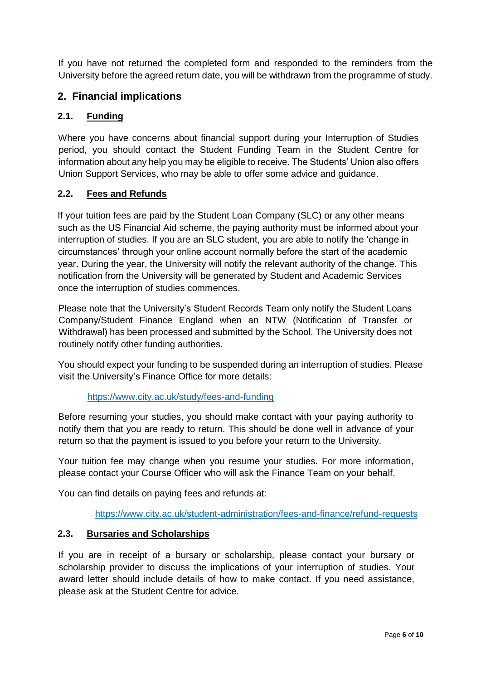<span id="page-5-0"></span>If you have not returned the completed form and responded to the reminders from the University before the agreed return date, you will be withdrawn from the programme of study.

# **2. Financial implications**

#### <span id="page-5-1"></span>**2.1. Funding**

Where you have concerns about financial support during your Interruption of Studies period, you should contact the Student Funding Team in the Student Centre for information about any help you may be eligible to receive. The Students' Union also offers Union Support Services, who may be able to offer some advice and guidance.

### <span id="page-5-2"></span>**2.2. Fees and Refunds**

If your tuition fees are paid by the Student Loan Company (SLC) or any other means such as the US Financial Aid scheme, the paying authority must be informed about your interruption of studies. If you are an SLC student, you are able to notify the 'change in circumstances' through your online account normally before the start of the academic year. During the year, the University will notify the relevant authority of the change. This notification from the University will be generated by Student and Academic Services once the interruption of studies commences.

Please note that the University's Student Records Team only notify the Student Loans Company/Student Finance England when an NTW (Notification of Transfer or Withdrawal) has been processed and submitted by the School. The University does not routinely notify other funding authorities.

You should expect your funding to be suspended during an interruption of studies. Please visit the University's Finance Office for more details:

#### <https://www.city.ac.uk/study/fees-and-funding>

Before resuming your studies, you should make contact with your paying authority to notify them that you are ready to return. This should be done well in advance of your return so that the payment is issued to you before your return to the University.

Your tuition fee may change when you resume your studies. For more information, please contact your Course Officer who will ask the Finance Team on your behalf.

You can find details on paying fees and refunds at:

<https://www.city.ac.uk/student-administration/fees-and-finance/refund-requests>

#### <span id="page-5-3"></span>**2.3. Bursaries and Scholarships**

If you are in receipt of a bursary or scholarship, please contact your bursary or scholarship provider to discuss the implications of your interruption of studies. Your award letter should include details of how to make contact. If you need assistance, please ask at the Student Centre for advice.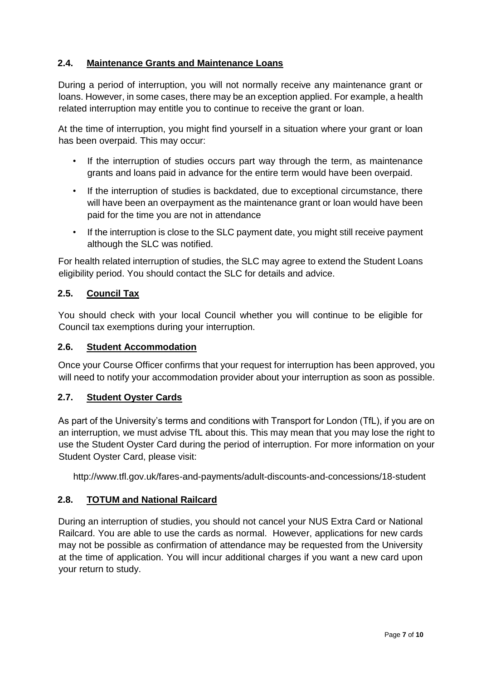### <span id="page-6-0"></span>**2.4. Maintenance Grants and Maintenance Loans**

During a period of interruption, you will not normally receive any maintenance grant or loans. However, in some cases, there may be an exception applied. For example, a health related interruption may entitle you to continue to receive the grant or loan.

At the time of interruption, you might find yourself in a situation where your grant or loan has been overpaid. This may occur:

- If the interruption of studies occurs part way through the term, as maintenance grants and loans paid in advance for the entire term would have been overpaid.
- If the interruption of studies is backdated, due to exceptional circumstance, there will have been an overpayment as the maintenance grant or loan would have been paid for the time you are not in attendance
- If the interruption is close to the SLC payment date, you might still receive payment although the SLC was notified.

For health related interruption of studies, the SLC may agree to extend the Student Loans eligibility period. You should contact the SLC for details and advice.

### <span id="page-6-1"></span>**2.5. Council Tax**

You should check with your local Council whether you will continue to be eligible for Council tax exemptions during your interruption.

#### **2.6. Student Accommodation**

Once your Course Officer confirms that your request for interruption has been approved, you will need to notify your accommodation provider about your interruption as soon as possible.

#### <span id="page-6-2"></span>**2.7. Student Oyster Cards**

As part of the University's terms and conditions with Transport for London (TfL), if you are on an interruption, we must advise TfL about this. This may mean that you may lose the right to use the Student Oyster Card during the period of interruption. For more information on your Student Oyster Card, please visit:

<span id="page-6-3"></span><http://www.tfl.gov.uk/fares-and-payments/adult-discounts-and-concessions/18-student>

#### **2.8. TOTUM and National Railcard**

<span id="page-6-4"></span>During an interruption of studies, you should not cancel your NUS Extra Card or National Railcard. You are able to use the cards as normal. However, applications for new cards may not be possible as confirmation of attendance may be requested from the University at the time of application. You will incur additional charges if you want a new card upon your return to study.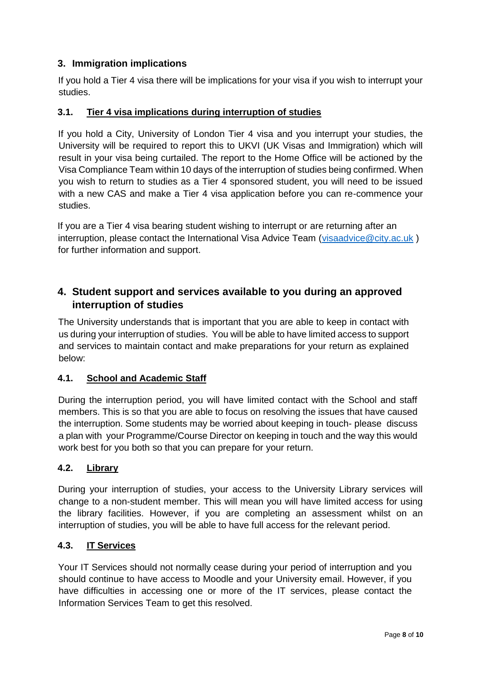## **3. Immigration implications**

If you hold a Tier 4 visa there will be implications for your visa if you wish to interrupt your studies.

#### <span id="page-7-0"></span>**3.1. Tier 4 visa implications during interruption of studies**

If you hold a City, University of London Tier 4 visa and you interrupt your studies, the University will be required to report this to UKVI (UK Visas and Immigration) which will result in your visa being curtailed. The report to the Home Office will be actioned by the Visa Compliance Team within 10 days of the interruption of studies being confirmed. When you wish to return to studies as a Tier 4 sponsored student, you will need to be issued with a new CAS and make a Tier 4 visa application before you can re-commence your studies.

<span id="page-7-1"></span>If you are a Tier 4 visa bearing student wishing to interrupt or are returning after an interruption, please contact the International Visa Advice Team [\(visaadvice@city.ac.uk](mailto:visaadvice@city.ac.uk)) for further information and support.

# **4. Student support and services available to you during an approved interruption of studies**

The University understands that is important that you are able to keep in contact with us during your interruption of studies. You will be able to have limited access to support and services to maintain contact and make preparations for your return as explained below:

#### <span id="page-7-2"></span>**4.1. School and Academic Staff**

During the interruption period, you will have limited contact with the School and staff members. This is so that you are able to focus on resolving the issues that have caused the interruption. Some students may be worried about keeping in touch- please discuss a plan with your Programme/Course Director on keeping in touch and the way this would work best for you both so that you can prepare for your return.

#### <span id="page-7-3"></span>**4.2. Library**

During your interruption of studies, your access to the University Library services will change to a non-student member. This will mean you will have limited access for using the library facilities. However, if you are completing an assessment whilst on an interruption of studies, you will be able to have full access for the relevant period.

#### <span id="page-7-4"></span>**4.3. IT Services**

Your IT Services should not normally cease during your period of interruption and you should continue to have access to Moodle and your University email. However, if you have difficulties in accessing one or more of the IT services, please contact the Information Services Team to get this resolved.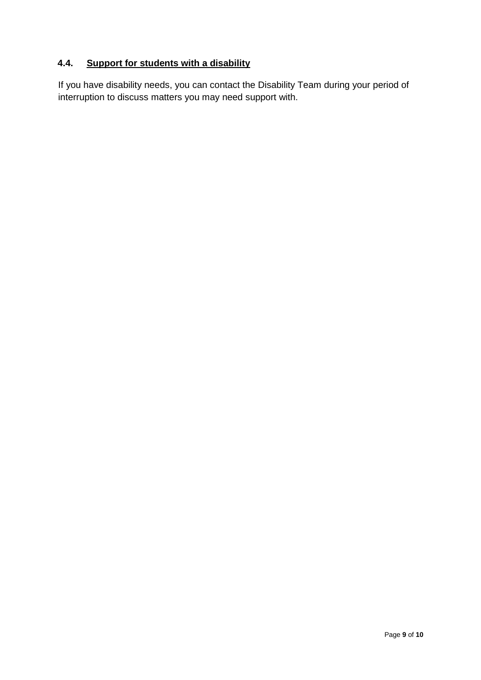# <span id="page-8-0"></span>**4.4. Support for students with a disability**

If you have disability needs, you can contact the Disability Team during your period of interruption to discuss matters you may need support with.